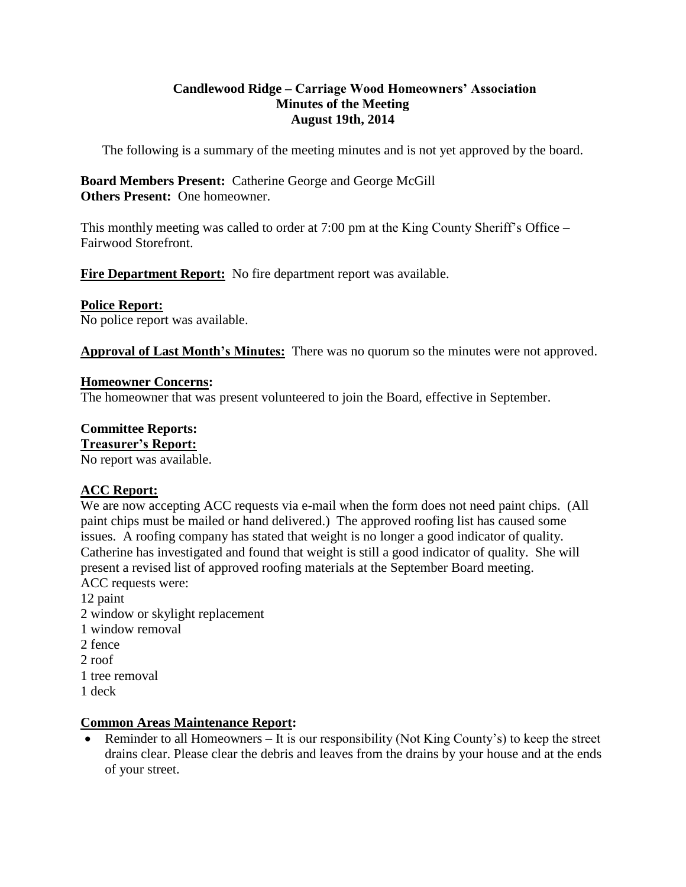# **Candlewood Ridge – Carriage Wood Homeowners' Association Minutes of the Meeting August 19th, 2014**

The following is a summary of the meeting minutes and is not yet approved by the board.

# **Board Members Present:** Catherine George and George McGill **Others Present:** One homeowner.

This monthly meeting was called to order at 7:00 pm at the King County Sheriff's Office – Fairwood Storefront.

**Fire Department Report:** No fire department report was available.

# **Police Report:**

No police report was available.

**Approval of Last Month's Minutes:** There was no quorum so the minutes were not approved.

# **Homeowner Concerns:**

The homeowner that was present volunteered to join the Board, effective in September.

# **Committee Reports:**

# **Treasurer's Report:**

No report was available.

# **ACC Report:**

We are now accepting ACC requests via e-mail when the form does not need paint chips. (All paint chips must be mailed or hand delivered.) The approved roofing list has caused some issues. A roofing company has stated that weight is no longer a good indicator of quality. Catherine has investigated and found that weight is still a good indicator of quality. She will present a revised list of approved roofing materials at the September Board meeting. ACC requests were:

12 paint 2 window or skylight replacement 1 window removal 2 fence 2 roof 1 tree removal 1 deck

# **Common Areas Maintenance Report:**

• Reminder to all Homeowners – It is our responsibility (Not King County's) to keep the street drains clear. Please clear the debris and leaves from the drains by your house and at the ends of your street.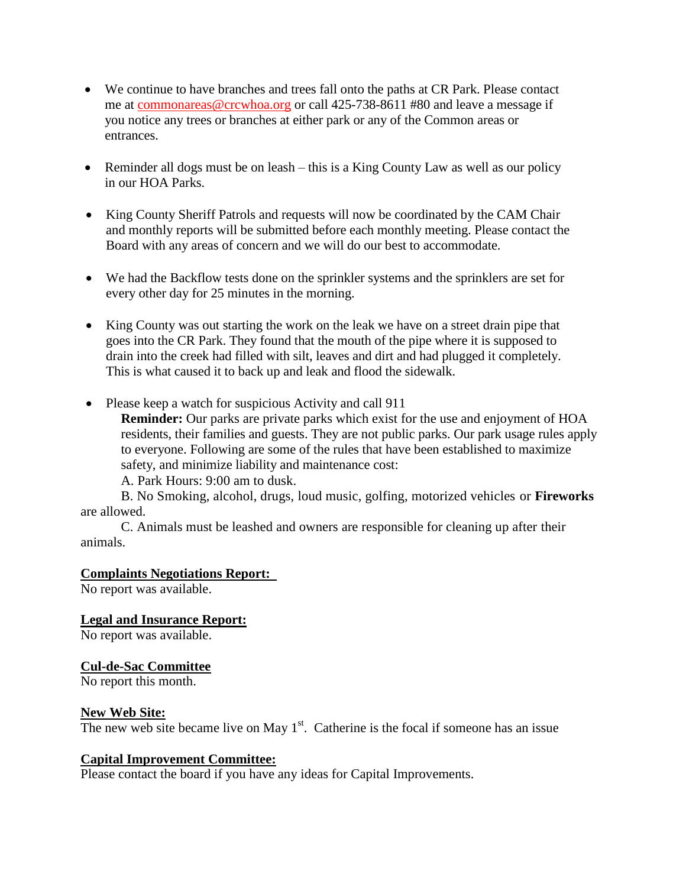- We continue to have branches and trees fall onto the paths at CR Park. Please contact me at [commonareas@crcwhoa.org](mailto:commonareas@crcwhoa.org) or call 425-738-8611 #80 and leave a message if you notice any trees or branches at either park or any of the Common areas or entrances.
- Reminder all dogs must be on leash this is a King County Law as well as our policy in our HOA Parks.
- King County Sheriff Patrols and requests will now be coordinated by the CAM Chair and monthly reports will be submitted before each monthly meeting. Please contact the Board with any areas of concern and we will do our best to accommodate.
- We had the Backflow tests done on the sprinkler systems and the sprinklers are set for every other day for 25 minutes in the morning.
- King County was out starting the work on the leak we have on a street drain pipe that goes into the CR Park. They found that the mouth of the pipe where it is supposed to drain into the creek had filled with silt, leaves and dirt and had plugged it completely. This is what caused it to back up and leak and flood the sidewalk.
- Please keep a watch for suspicious Activity and call 911

**Reminder:** Our parks are private parks which exist for the use and enjoyment of HOA residents, their families and guests. They are not public parks. Our park usage rules apply to everyone. Following are some of the rules that have been established to maximize safety, and minimize liability and maintenance cost:

A. Park Hours: 9:00 am to dusk.

B. No Smoking, alcohol, drugs, loud music, golfing, motorized vehicles or **Fireworks**  are allowed.

C. Animals must be leashed and owners are responsible for cleaning up after their animals.

#### **Complaints Negotiations Report:**

No report was available.

**Legal and Insurance Report:**

No report was available.

#### **Cul-de-Sac Committee**

No report this month.

#### **New Web Site:**

The new web site became live on May  $1<sup>st</sup>$ . Catherine is the focal if someone has an issue

#### **Capital Improvement Committee:**

Please contact the board if you have any ideas for Capital Improvements.